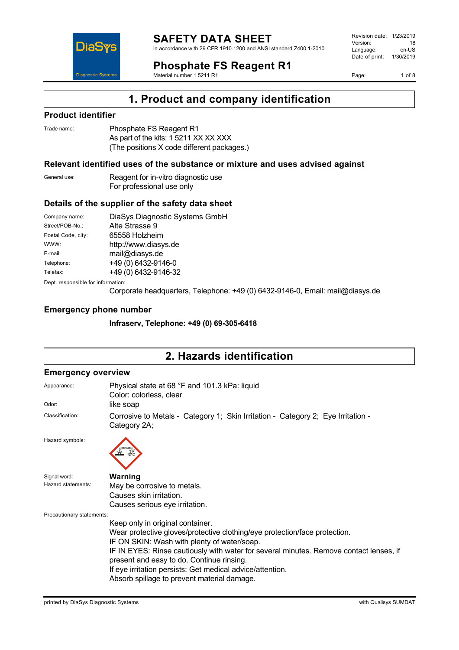

in accordance with 29 CFR 1910.1200 and ANSI standard Z400.1-2010

**Phosphate FS Reagent R1**

Material number 1 5211 R1

Version: 18<br>Language: en-LIS Language: Date of print: 1/30/2019

Revision date: 1/23/2019

Page: 1 of 8



### **Product identifier**

**DiaS** 

**Diagnostic System** 

| Trade name: | Phosphate FS Reagent R1                    |
|-------------|--------------------------------------------|
|             | As part of the kits: 1 5211 XX XX XXX      |
|             | (The positions X code different packages.) |

#### **Relevant identified uses of the substance or mixture and uses advised against**

General use: Reagent for in-vitro diagnostic use For professional use only

#### **Details of the supplier of the safety data sheet**

| Company name:                      | DiaSys Diagnostic Systems GmbH |
|------------------------------------|--------------------------------|
| Street/POB-No.:                    | Alte Strasse 9                 |
| Postal Code, city:                 | 65558 Holzheim                 |
| WWW:                               | http://www.diasys.de           |
| E-mail:                            | mail@diasys.de                 |
| Telephone:                         | +49 (0) 6432-9146-0            |
| Telefax:                           | +49 (0) 6432-9146-32           |
| Dept. responsible for information: |                                |

Corporate headquarters, Telephone: +49 (0) 6432-9146-0, Email: mail@diasys.de

#### **Emergency phone number**

**Infraserv, Telephone: +49 (0) 69-305-6418**

# **2. Hazards identification**

#### **Emergency overview**

| Appearance:               | Physical state at 68 °F and 101.3 kPa: liquid<br>Color: colorless, clear                         |  |  |
|---------------------------|--------------------------------------------------------------------------------------------------|--|--|
| Odor:                     | like soap                                                                                        |  |  |
| Classification:           | Corrosive to Metals - Category 1; Skin Irritation - Category 2; Eye Irritation -<br>Category 2A; |  |  |
| Hazard symbols:           |                                                                                                  |  |  |
| Signal word:              | Warning                                                                                          |  |  |
| Hazard statements:        | May be corrosive to metals.                                                                      |  |  |
| Causes skin irritation.   |                                                                                                  |  |  |
|                           | Causes serious eye irritation.                                                                   |  |  |
| Precautionary statements: |                                                                                                  |  |  |
|                           | Keep only in original container.                                                                 |  |  |
|                           | Wear protective gloves/protective clothing/eye protection/face protection.                       |  |  |
|                           | IF ON SKIN: Wash with plenty of water/soap.                                                      |  |  |
|                           | IF IN EYES: Rinse cautiously with water for several minutes. Remove contact lenses, if           |  |  |
|                           | present and easy to do. Continue rinsing.                                                        |  |  |
|                           | If eye irritation persists: Get medical advice/attention.                                        |  |  |
|                           | Absorb spillage to prevent material damage.                                                      |  |  |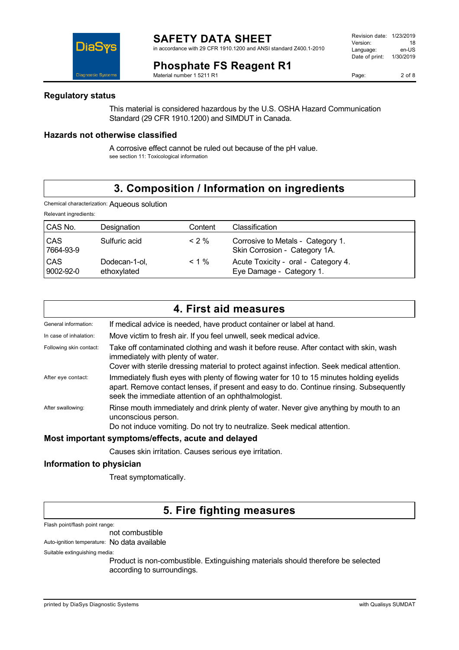Revision date: 1/23/2019 Version: 18<br>Language: en-LIS Language: Date of print: 1/30/2019



### **Phosphate FS Reagent R1**

Material number 1 5211 R1

Page: 2 of 8

#### **Regulatory status**

This material is considered hazardous by the U.S. OSHA Hazard Communication Standard (29 CFR 1910.1200) and SIMDUT in Canada.

### **Hazards not otherwise classified**

A corrosive effect cannot be ruled out because of the pH value. see section 11: Toxicological information

# **3. Composition / Information on ingredients**

Chemical characterization: Aqueous solution

| Relevant ingredients:   |                              |          |                                                                    |
|-------------------------|------------------------------|----------|--------------------------------------------------------------------|
| CAS No.                 | Designation                  | Content  | Classification                                                     |
| <b>CAS</b><br>7664-93-9 | Sulfuric acid                | $< 2 \%$ | Corrosive to Metals - Category 1.<br>Skin Corrosion - Category 1A. |
| <b>CAS</b><br>9002-92-0 | Dodecan-1-ol,<br>ethoxylated | $< 1 \%$ | Acute Toxicity - oral - Category 4.<br>Eye Damage - Category 1.    |

|                                                    | 4. First aid measures                                                                                                                                                                                                                      |  |
|----------------------------------------------------|--------------------------------------------------------------------------------------------------------------------------------------------------------------------------------------------------------------------------------------------|--|
| General information:                               | If medical advice is needed, have product container or label at hand.                                                                                                                                                                      |  |
| In case of inhalation:                             | Move victim to fresh air. If you feel unwell, seek medical advice.                                                                                                                                                                         |  |
| Following skin contact:                            | Take off contaminated clothing and wash it before reuse. After contact with skin, wash<br>immediately with plenty of water.<br>Cover with sterile dressing material to protect against infection. Seek medical attention.                  |  |
| After eye contact:                                 | Immediately flush eyes with plenty of flowing water for 10 to 15 minutes holding eyelids<br>apart. Remove contact lenses, if present and easy to do. Continue rinsing. Subsequently<br>seek the immediate attention of an ophthalmologist. |  |
| After swallowing:                                  | Rinse mouth immediately and drink plenty of water. Never give anything by mouth to an<br>unconscious person.<br>Do not induce vomiting. Do not try to neutralize. Seek medical attention.                                                  |  |
| Most important symptoms/effects, acute and delayed |                                                                                                                                                                                                                                            |  |

Causes skin irritation. Causes serious eye irritation.

### **Information to physician**

Treat symptomatically.

### **5. Fire fighting measures**

Flash point/flash point range:

#### not combustible

Auto-ignition temperature: No data available

Suitable extinguishing media:

Product is non-combustible. Extinguishing materials should therefore be selected according to surroundings.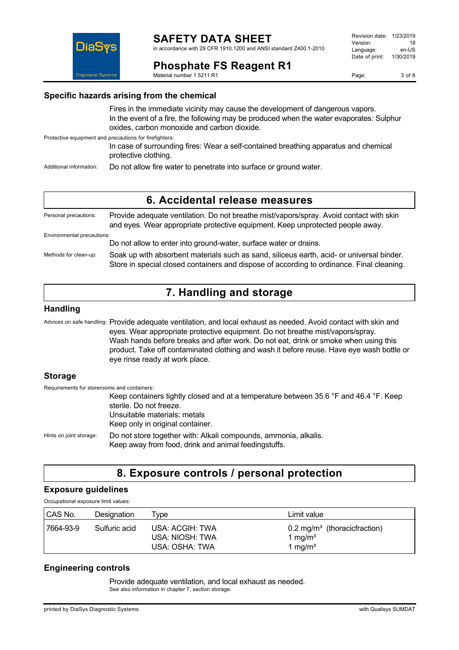

#### Revision date: 1/23/2019 Version: 18<br>I anguage: en-US Language: Date of print: 1/30/2019



**Phosphate FS Reagent R1**

Material number 1 5211 R1

Page: 3 of 8

### **Specific hazards arising from the chemical**

Fires in the immediate vicinity may cause the development of dangerous vapors. In the event of a fire, the following may be produced when the water evaporates: Sulphur oxides, carbon monoxide and carbon dioxide.

Protective equipment and precautions for firefighters:

In case of surrounding fires: Wear a self-contained breathing apparatus and chemical protective clothing.

Additional information: Do not allow fire water to penetrate into surface or ground water.

### **6. Accidental release measures**

Personal precautions: Provide adequate ventilation. Do not breathe mist/vapors/spray. Avoid contact with skin and eyes. Wear appropriate protective equipment. Keep unprotected people away. Environmental precautions: Do not allow to enter into ground-water, surface water or drains. Methods for clean-up: Soak up with absorbent materials such as sand, siliceus earth, acid- or universal binder. Store in special closed containers and dispose of according to ordinance. Final cleaning.

# **7. Handling and storage**

### **Handling**

Advices on safe handling: Provide adequate ventilation, and local exhaust as needed. Avoid contact with skin and eyes. Wear appropriate protective equipment. Do not breathe mist/vapors/spray. Wash hands before breaks and after work. Do not eat, drink or smoke when using this product. Take off contaminated clothing and wash it before reuse. Have eye wash bottle or eye rinse ready at work place.

### **Storage**

Requirements for storerooms and containers: Keep containers tightly closed and at a temperature between 35.6 °F and 46.4 °F. Keep sterile. Do not freeze. Unsuitable materials: metals Keep only in original container. Hints on joint storage: Do not store together with: Alkali compounds, ammonia, alkalis. Keep away from food, drink and animal feedingstuffs.

# **8. Exposure controls / personal protection**

### **Exposure guidelines**

Occupational exposure limit values:

| CAS No.   | Designation   | ' vpe                                                | Limit value                                                                           |
|-----------|---------------|------------------------------------------------------|---------------------------------------------------------------------------------------|
| 7664-93-9 | Sulfuric acid | USA: ACGIH: TWA<br>USA: NIOSH: TWA<br>USA: OSHA: TWA | $0.2 \text{ mg/m}^3$ (thoracicfraction)<br>1 mg/m <sup>3</sup><br>1 mg/m <sup>3</sup> |

### **Engineering controls**

Provide adequate ventilation, and local exhaust as needed. See also information in chapter 7, section storage.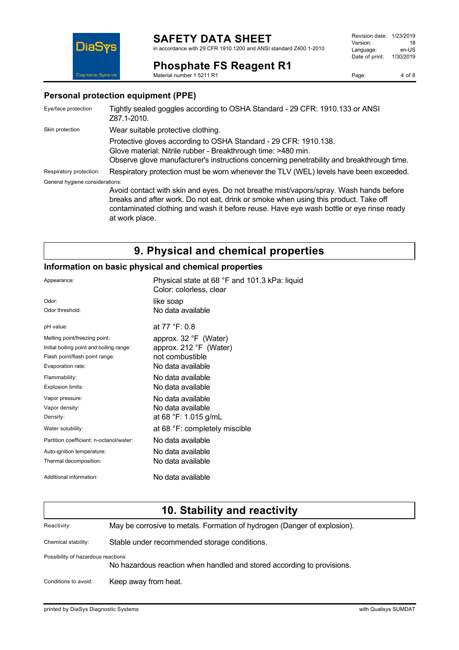# **SAFETY DATA SHEET**

in accordance with 29 CFR 1910.1200 and ANSI standard Z400.1-2010

#### Revision date: 1/23/2019 Version: 18<br>
Language: en-US Language: Date of print: 1/30/2019



**Phosphate FS Reagent R1** Material number 1 5211 R1

### **Personal protection equipment (PPE)**

| Eye/face protection             | Tightly sealed goggles according to OSHA Standard - 29 CFR: 1910.133 or ANSI<br>Z87.1-2010.                                                                                                                                                                             |
|---------------------------------|-------------------------------------------------------------------------------------------------------------------------------------------------------------------------------------------------------------------------------------------------------------------------|
| Skin protection                 | Wear suitable protective clothing.                                                                                                                                                                                                                                      |
|                                 | Protective gloves according to OSHA Standard - 29 CFR: 1910.138.<br>Glove material: Nitrile rubber - Breakthrough time: >480 min.<br>Observe glove manufacturer's instructions concerning penetrability and breakthrough time.                                          |
| Respiratory protection:         | Respiratory protection must be worn whenever the TLV (WEL) levels have been exceeded.                                                                                                                                                                                   |
| General hygiene considerations: |                                                                                                                                                                                                                                                                         |
|                                 | Avoid contact with skin and eyes. Do not breathe mist/vapors/spray. Wash hands before<br>breaks and after work. Do not eat, drink or smoke when using this product. Take off<br>contaminated clothing and wash it before reuse. Have eye wash bottle or eye rinse ready |

at work place.

# **9. Physical and chemical properties**

#### **Information on basic physical and chemical properties**

| Appearance:                              | Physical state at 68 °F and 101.3 kPa: liquid<br>Color: colorless, clear |
|------------------------------------------|--------------------------------------------------------------------------|
| Odor:                                    | like soap                                                                |
| Odor threshold:                          | No data available                                                        |
| pH value:                                | at $77 °F: 0.8$                                                          |
| Melting point/freezing point:            | approx. 32 °F (Water)                                                    |
| Initial boiling point and boiling range: | approx. 212 °F (Water)                                                   |
| Flash point/flash point range:           | not combustible                                                          |
| Evaporation rate:                        | No data available                                                        |
| Flammability:                            | No data available                                                        |
| Explosion limits:                        | No data available                                                        |
| Vapor pressure:                          | No data available                                                        |
| Vapor density:                           | No data available                                                        |
| Density:                                 | at 68 °F: 1.015 g/mL                                                     |
| Water solubility:                        | at 68 °F: completely miscible                                            |
| Partition coefficient: n-octanol/water:  | No data available                                                        |
| Auto-ignition temperature:               | No data available                                                        |
| Thermal decomposition:                   | No data available                                                        |
| Additional information:                  | No data available                                                        |

|                                                                                                              | 10. Stability and reactivity                                             |
|--------------------------------------------------------------------------------------------------------------|--------------------------------------------------------------------------|
| Reactivity:                                                                                                  | May be corrosive to metals. Formation of hydrogen (Danger of explosion). |
| Chemical stability:                                                                                          | Stable under recommended storage conditions.                             |
| Possibility of hazardous reactions<br>No hazardous reaction when handled and stored according to provisions. |                                                                          |
| Conditions to avoid:                                                                                         | Keep away from heat.                                                     |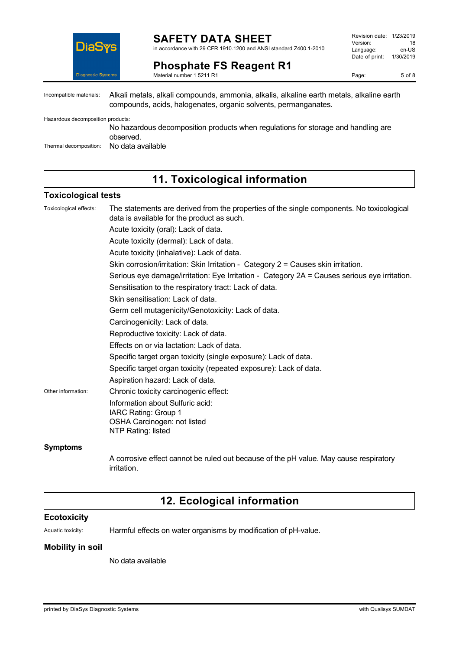

#### **SAFETY DATA SHEET** in accordance with 29 CFR 1910.1200 and ANSI standard Z400.1-2010

**Phosphate FS Reagent R1** Material number 1 5211 R1

Revision date: 1/23/2019 Version: 18<br>
Language: en-US Language: Date of print: 1/30/2019

Page: 5 of 8

Incompatible materials: Alkali metals, alkali compounds, ammonia, alkalis, alkaline earth metals, alkaline earth compounds, acids, halogenates, organic solvents, permanganates.

Hazardous decomposition products:

No hazardous decomposition products when regulations for storage and handling are observed.

Thermal decomposition: No data available

## **11. Toxicological information**

#### **Toxicological tests**

| Toxicological effects: | The statements are derived from the properties of the single components. No toxicological<br>data is available for the product as such. |
|------------------------|-----------------------------------------------------------------------------------------------------------------------------------------|
|                        | Acute toxicity (oral): Lack of data.                                                                                                    |
|                        | Acute toxicity (dermal): Lack of data.                                                                                                  |
|                        | Acute toxicity (inhalative): Lack of data.                                                                                              |
|                        | Skin corrosion/irritation: Skin Irritation - Category 2 = Causes skin irritation.                                                       |
|                        | Serious eye damage/irritation: Eye Irritation - Category 2A = Causes serious eye irritation.                                            |
|                        | Sensitisation to the respiratory tract: Lack of data.                                                                                   |
|                        | Skin sensitisation: Lack of data.                                                                                                       |
|                        | Germ cell mutagenicity/Genotoxicity: Lack of data.                                                                                      |
|                        | Carcinogenicity: Lack of data.                                                                                                          |
|                        | Reproductive toxicity: Lack of data.                                                                                                    |
|                        | Effects on or via lactation: Lack of data.                                                                                              |
|                        | Specific target organ toxicity (single exposure): Lack of data.                                                                         |
|                        | Specific target organ toxicity (repeated exposure): Lack of data.                                                                       |
|                        | Aspiration hazard: Lack of data.                                                                                                        |
| Other information:     | Chronic toxicity carcinogenic effect:                                                                                                   |
|                        | Information about Sulfuric acid:                                                                                                        |
|                        | IARC Rating: Group 1                                                                                                                    |
|                        | OSHA Carcinogen: not listed                                                                                                             |
|                        | NTP Rating: listed                                                                                                                      |
| <b>Symptoms</b>        |                                                                                                                                         |

A corrosive effect cannot be ruled out because of the pH value. May cause respiratory irritation.

### **12. Ecological information**

#### **Ecotoxicity**

Aquatic toxicity: Harmful effects on water organisms by modification of pH-value.

#### **Mobility in soil**

No data available

printed by DiaSys Diagnostic Systems with Qualisys SUMDAT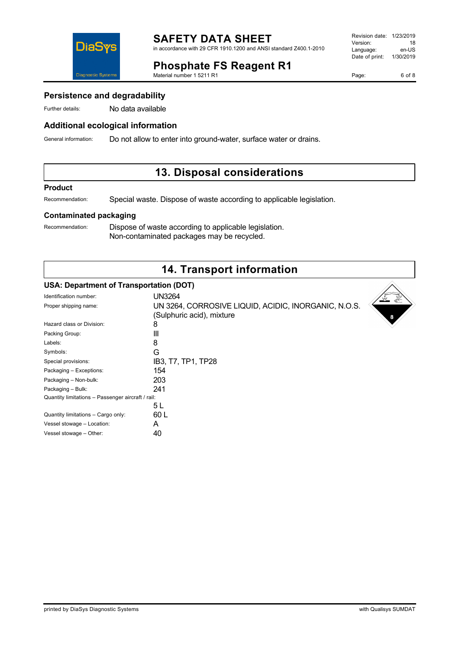

### **Additional ecological information**

General information: Do not allow to enter into ground-water, surface water or drains.

Material number 1 5211 R1

# **13. Disposal considerations**

**Phosphate FS Reagent R1**

#### **Product**

Recommendation: Special waste. Dispose of waste according to applicable legislation.

### **Contaminated packaging**

Recommendation: Dispose of waste according to applicable legislation. Non-contaminated packages may be recycled.

# **14. Transport information**

### **USA: Department of Transportation (DOT)**

| Identification number:                            | <b>UN3264</b>                                        |
|---------------------------------------------------|------------------------------------------------------|
| Proper shipping name:                             | UN 3264, CORROSIVE LIQUID, ACIDIC, INORGANIC, N.O.S. |
|                                                   | (Sulphuric acid), mixture                            |
| Hazard class or Division:                         | 8                                                    |
| Packing Group:                                    | Ш                                                    |
| Labels:                                           | 8                                                    |
| Symbols:                                          | G                                                    |
| Special provisions:                               | IB3, T7, TP1, TP28                                   |
| Packaging - Exceptions:                           | 154                                                  |
| Packaging - Non-bulk:                             | 203                                                  |
| Packaging - Bulk:                                 | 241                                                  |
| Quantity limitations - Passenger aircraft / rail: |                                                      |
|                                                   | 5 L                                                  |
| Quantity limitations - Cargo only:                | 60 L                                                 |
| Vessel stowage - Location:                        | A                                                    |
| Vessel stowage - Other:                           | 40                                                   |
|                                                   |                                                      |



#### Revision date: 1/23/2019 Version: 18<br>Language: en-LIS Language: Date of print: 1/30/2019

Page: 6 of 8

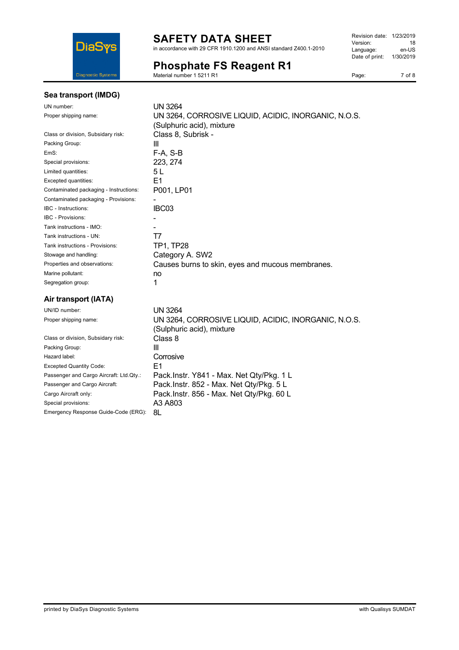

# **SAFETY DATA SHEET**

in accordance with 29 CFR 1910.1200 and ANSI standard Z400.1-2010

### **Phosphate FS Reagent R1**

Material number 1 5211 R1

| Revision date: 1/23/2019 |           |
|--------------------------|-----------|
| Version:                 | 18        |
| Language:                | en-US     |
| Date of print:           | 1/30/2019 |
|                          |           |

Page: 7 of 8

#### **Sea transport (IMDG)**

| UN number:                             | <b>UN 3264</b>                                       |
|----------------------------------------|------------------------------------------------------|
| Proper shipping name:                  | UN 3264, CORROSIVE LIQUID, ACIDIC, INORGANIC, N.O.S. |
|                                        | (Sulphuric acid), mixture                            |
| Class or division, Subsidary risk:     | Class 8, Subrisk -                                   |
| Packing Group:                         | Ш                                                    |
| EmS:                                   | F-A. S-B                                             |
| Special provisions:                    | 223, 274                                             |
| Limited quantities:                    | 5 L                                                  |
| Excepted quantities:                   | E1                                                   |
| Contaminated packaging - Instructions: | P001, LP01                                           |
| Contaminated packaging - Provisions:   |                                                      |
| IBC - Instructions:                    | IBC03                                                |
| <b>IBC - Provisions:</b>               |                                                      |
| Tank instructions - IMO:               |                                                      |
| Tank instructions - UN:                | Τ7                                                   |
| Tank instructions - Provisions:        | <b>TP1, TP28</b>                                     |
| Stowage and handling:                  | Category A. SW2                                      |
| Properties and observations:           | Causes burns to skin, eyes and mucous membranes.     |
| Marine pollutant:                      | no                                                   |
| Segregation group:                     | 1                                                    |
| Air transport (IATA)                   |                                                      |
| UN/ID number:                          | <b>UN 3264</b>                                       |
| Proper shipping name:                  | UN 3264, CORROSIVE LIQUID, ACIDIC, INORGANIC, N.O.S. |
|                                        | (Sulphuric acid), mixture                            |
| Class or division, Subsidary risk:     | Class 8                                              |
| Packing Group:                         | Ш                                                    |
| Hazard label:                          | Corrosive                                            |
| .                                      | <u>га</u>                                            |

Excepted Quantity Code: E1<br>Passenger and Cargo Aircraft: Ltd.Qty.: Pa Passenger and Cargo Aircraft: Ltd.Qty.: Pack.Instr. Y841 - Max. Net Qty/Pkg. 1 L<br>Passenger and Cargo Aircraft: Pack.Instr. 852 - Max. Net Qty/Pkg. 5 L Pack.Instr. 852 - Max. Net Qty/Pkg. 5 L Cargo Aircraft only: Pack.Instr. 856 - Max. Net Qty/Pkg. 60 L<br>Special provisions: A3 A803 Special provisions:

Emergency Response Guide-Code (ERG): 8L